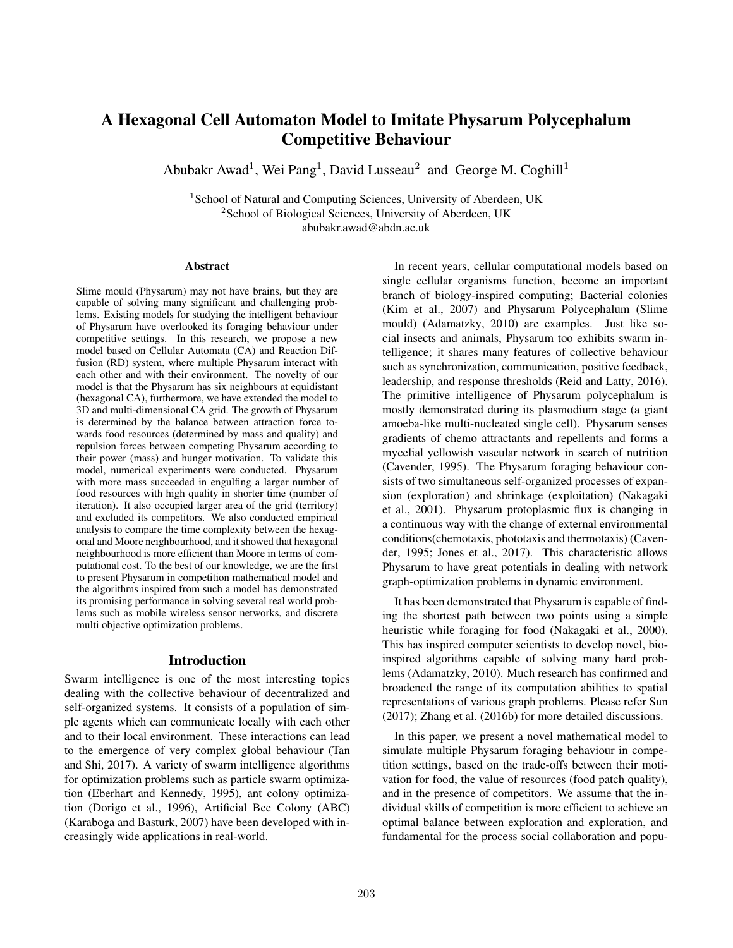# A Hexagonal Cell Automaton Model to Imitate Physarum Polycephalum Competitive Behaviour

Abubakr Awad<sup>1</sup>, Wei Pang<sup>1</sup>, David Lusseau<sup>2</sup> and George M. Coghill<sup>1</sup>

<sup>1</sup> School of Natural and Computing Sciences, University of Aberdeen, UK  $2$ School of Biological Sciences, University of Aberdeen, UK abubakr.awad@abdn.ac.uk

#### Abstract

Slime mould (Physarum) may not have brains, but they are capable of solving many significant and challenging problems. Existing models for studying the intelligent behaviour of Physarum have overlooked its foraging behaviour under competitive settings. In this research, we propose a new model based on Cellular Automata (CA) and Reaction Diffusion (RD) system, where multiple Physarum interact with each other and with their environment. The novelty of our model is that the Physarum has six neighbours at equidistant (hexagonal CA), furthermore, we have extended the model to 3D and multi-dimensional CA grid. The growth of Physarum is determined by the balance between attraction force towards food resources (determined by mass and quality) and repulsion forces between competing Physarum according to their power (mass) and hunger motivation. To validate this model, numerical experiments were conducted. Physarum with more mass succeeded in engulfing a larger number of food resources with high quality in shorter time (number of iteration). It also occupied larger area of the grid (territory) and excluded its competitors. We also conducted empirical analysis to compare the time complexity between the hexagonal and Moore neighbourhood, and it showed that hexagonal neighbourhood is more efficient than Moore in terms of computational cost. To the best of our knowledge, we are the first to present Physarum in competition mathematical model and the algorithms inspired from such a model has demonstrated its promising performance in solving several real world problems such as mobile wireless sensor networks, and discrete multi objective optimization problems.

#### Introduction

Swarm intelligence is one of the most interesting topics dealing with the collective behaviour of decentralized and self-organized systems. It consists of a population of simple agents which can communicate locally with each other and to their local environment. These interactions can lead to the emergence of very complex global behaviour (Tan and Shi, 2017). A variety of swarm intelligence algorithms for optimization problems such as particle swarm optimization (Eberhart and Kennedy, 1995), ant colony optimization (Dorigo et al., 1996), Artificial Bee Colony (ABC) (Karaboga and Basturk, 2007) have been developed with increasingly wide applications in real-world.

In recent years, cellular computational models based on single cellular organisms function, become an important branch of biology-inspired computing; Bacterial colonies (Kim et al., 2007) and Physarum Polycephalum (Slime mould) (Adamatzky, 2010) are examples. Just like social insects and animals, Physarum too exhibits swarm intelligence; it shares many features of collective behaviour such as synchronization, communication, positive feedback, leadership, and response thresholds (Reid and Latty, 2016). The primitive intelligence of Physarum polycephalum is mostly demonstrated during its plasmodium stage (a giant amoeba-like multi-nucleated single cell). Physarum senses gradients of chemo attractants and repellents and forms a mycelial yellowish vascular network in search of nutrition (Cavender, 1995). The Physarum foraging behaviour consists of two simultaneous self-organized processes of expansion (exploration) and shrinkage (exploitation) (Nakagaki et al., 2001). Physarum protoplasmic flux is changing in a continuous way with the change of external environmental conditions(chemotaxis, phototaxis and thermotaxis) (Cavender, 1995; Jones et al., 2017). This characteristic allows Physarum to have great potentials in dealing with network graph-optimization problems in dynamic environment.

It has been demonstrated that Physarum is capable of finding the shortest path between two points using a simple heuristic while foraging for food (Nakagaki et al., 2000). This has inspired computer scientists to develop novel, bioinspired algorithms capable of solving many hard problems (Adamatzky, 2010). Much research has confirmed and broadened the range of its computation abilities to spatial representations of various graph problems. Please refer Sun (2017); Zhang et al. (2016b) for more detailed discussions.

In this paper, we present a novel mathematical model to simulate multiple Physarum foraging behaviour in competition settings, based on the trade-offs between their motivation for food, the value of resources (food patch quality), and in the presence of competitors. We assume that the individual skills of competition is more efficient to achieve an optimal balance between exploration and exploration, and fundamental for the process social collaboration and popu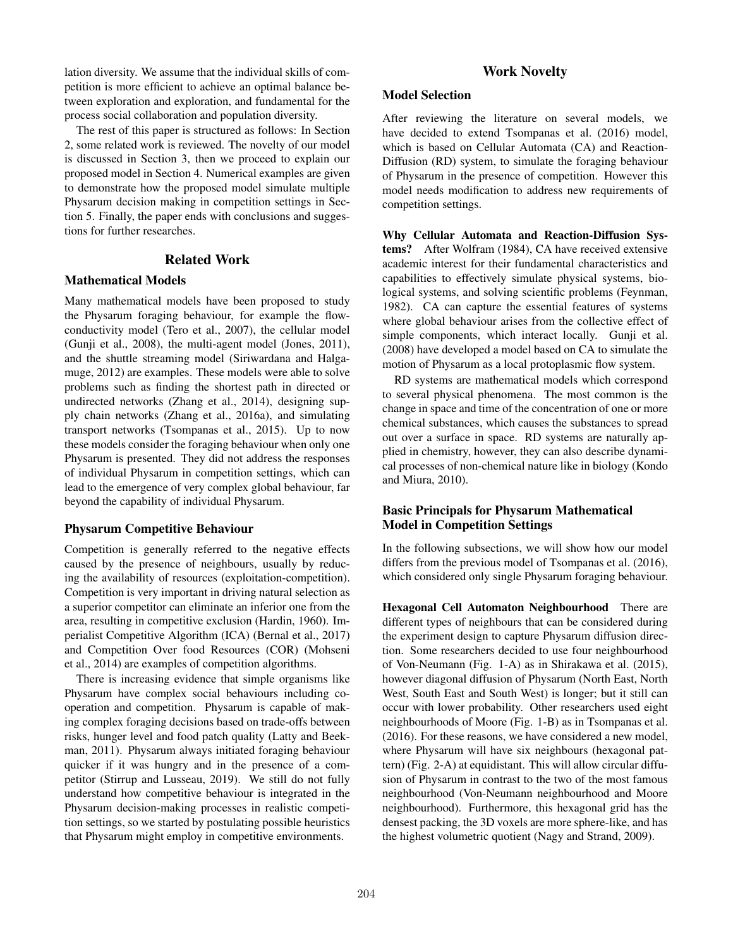lation diversity. We assume that the individual skills of competition is more efficient to achieve an optimal balance between exploration and exploration, and fundamental for the process social collaboration and population diversity.

The rest of this paper is structured as follows: In Section 2, some related work is reviewed. The novelty of our model is discussed in Section 3, then we proceed to explain our proposed model in Section 4. Numerical examples are given to demonstrate how the proposed model simulate multiple Physarum decision making in competition settings in Section 5. Finally, the paper ends with conclusions and suggestions for further researches.

# Related Work

### Mathematical Models

Many mathematical models have been proposed to study the Physarum foraging behaviour, for example the flowconductivity model (Tero et al., 2007), the cellular model (Gunji et al., 2008), the multi-agent model (Jones, 2011), and the shuttle streaming model (Siriwardana and Halgamuge, 2012) are examples. These models were able to solve problems such as finding the shortest path in directed or undirected networks (Zhang et al., 2014), designing supply chain networks (Zhang et al., 2016a), and simulating transport networks (Tsompanas et al., 2015). Up to now these models consider the foraging behaviour when only one Physarum is presented. They did not address the responses of individual Physarum in competition settings, which can lead to the emergence of very complex global behaviour, far beyond the capability of individual Physarum.

### Physarum Competitive Behaviour

Competition is generally referred to the negative effects caused by the presence of neighbours, usually by reducing the availability of resources (exploitation-competition). Competition is very important in driving natural selection as a superior competitor can eliminate an inferior one from the area, resulting in competitive exclusion (Hardin, 1960). Imperialist Competitive Algorithm (ICA) (Bernal et al., 2017) and Competition Over food Resources (COR) (Mohseni et al., 2014) are examples of competition algorithms.

There is increasing evidence that simple organisms like Physarum have complex social behaviours including cooperation and competition. Physarum is capable of making complex foraging decisions based on trade-offs between risks, hunger level and food patch quality (Latty and Beekman, 2011). Physarum always initiated foraging behaviour quicker if it was hungry and in the presence of a competitor (Stirrup and Lusseau, 2019). We still do not fully understand how competitive behaviour is integrated in the Physarum decision-making processes in realistic competition settings, so we started by postulating possible heuristics that Physarum might employ in competitive environments.

# Work Novelty

### Model Selection

After reviewing the literature on several models, we have decided to extend Tsompanas et al. (2016) model, which is based on Cellular Automata (CA) and Reaction-Diffusion (RD) system, to simulate the foraging behaviour of Physarum in the presence of competition. However this model needs modification to address new requirements of competition settings.

Why Cellular Automata and Reaction-Diffusion Systems? After Wolfram (1984), CA have received extensive academic interest for their fundamental characteristics and capabilities to effectively simulate physical systems, biological systems, and solving scientific problems (Feynman, 1982). CA can capture the essential features of systems where global behaviour arises from the collective effect of simple components, which interact locally. Gunji et al. (2008) have developed a model based on CA to simulate the motion of Physarum as a local protoplasmic flow system.

RD systems are mathematical models which correspond to several physical phenomena. The most common is the change in space and time of the concentration of one or more chemical substances, which causes the substances to spread out over a surface in space. RD systems are naturally applied in chemistry, however, they can also describe dynamical processes of non-chemical nature like in biology (Kondo and Miura, 2010).

# Basic Principals for Physarum Mathematical Model in Competition Settings

In the following subsections, we will show how our model differs from the previous model of Tsompanas et al. (2016), which considered only single Physarum foraging behaviour.

Hexagonal Cell Automaton Neighbourhood There are different types of neighbours that can be considered during the experiment design to capture Physarum diffusion direction. Some researchers decided to use four neighbourhood of Von-Neumann (Fig. 1-A) as in Shirakawa et al. (2015), however diagonal diffusion of Physarum (North East, North West, South East and South West) is longer; but it still can occur with lower probability. Other researchers used eight neighbourhoods of Moore (Fig. 1-B) as in Tsompanas et al. (2016). For these reasons, we have considered a new model, where Physarum will have six neighbours (hexagonal pattern) (Fig. 2-A) at equidistant. This will allow circular diffusion of Physarum in contrast to the two of the most famous neighbourhood (Von-Neumann neighbourhood and Moore neighbourhood). Furthermore, this hexagonal grid has the densest packing, the 3D voxels are more sphere-like, and has the highest volumetric quotient (Nagy and Strand, 2009).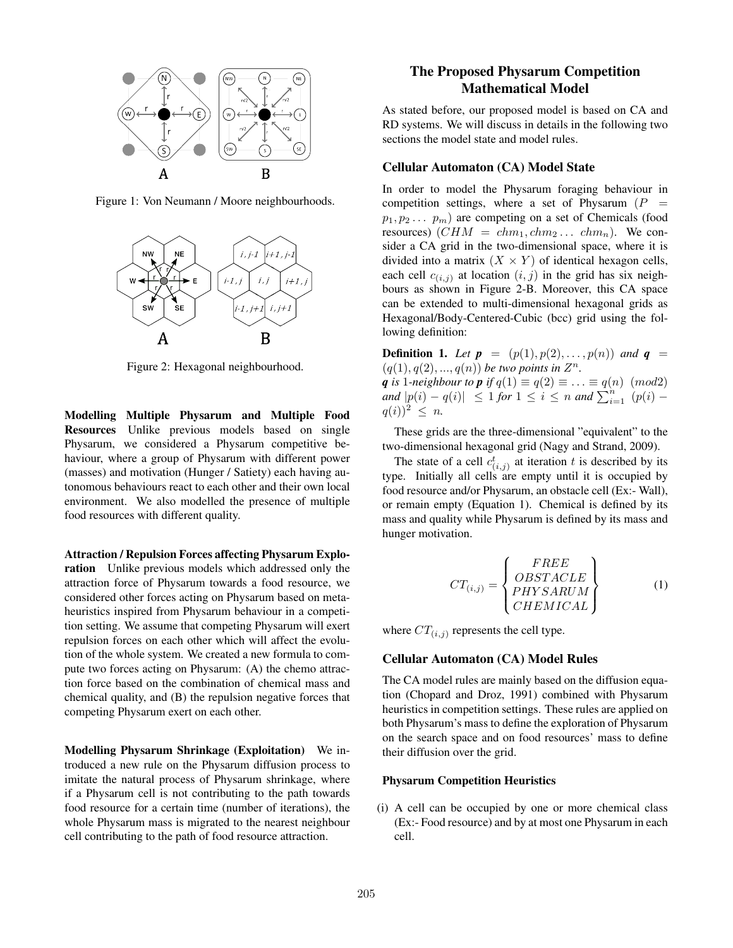

Figure 1: Von Neumann / Moore neighbourhoods.



Figure 2: Hexagonal neighbourhood.

Modelling Multiple Physarum and Multiple Food Resources Unlike previous models based on single Physarum, we considered a Physarum competitive behaviour, where a group of Physarum with different power (masses) and motivation (Hunger / Satiety) each having autonomous behaviours react to each other and their own local environment. We also modelled the presence of multiple food resources with different quality.

Attraction / Repulsion Forces affecting Physarum Exploration Unlike previous models which addressed only the attraction force of Physarum towards a food resource, we considered other forces acting on Physarum based on metaheuristics inspired from Physarum behaviour in a competition setting. We assume that competing Physarum will exert repulsion forces on each other which will affect the evolution of the whole system. We created a new formula to compute two forces acting on Physarum: (A) the chemo attraction force based on the combination of chemical mass and chemical quality, and (B) the repulsion negative forces that competing Physarum exert on each other.

Modelling Physarum Shrinkage (Exploitation) We introduced a new rule on the Physarum diffusion process to imitate the natural process of Physarum shrinkage, where if a Physarum cell is not contributing to the path towards food resource for a certain time (number of iterations), the whole Physarum mass is migrated to the nearest neighbour cell contributing to the path of food resource attraction.

# The Proposed Physarum Competition Mathematical Model

As stated before, our proposed model is based on CA and RD systems. We will discuss in details in the following two sections the model state and model rules.

#### Cellular Automaton (CA) Model State

In order to model the Physarum foraging behaviour in competition settings, where a set of Physarum  $(P =$  $p_1, p_2 \ldots p_m$ ) are competing on a set of Chemicals (food resources)  $(CHM = chm_1, chm_2... chm_n)$ . We consider a CA grid in the two-dimensional space, where it is divided into a matrix  $(X \times Y)$  of identical hexagon cells, each cell  $c_{(i,j)}$  at location  $(i,j)$  in the grid has six neighbours as shown in Figure 2-B. Moreover, this CA space can be extended to multi-dimensional hexagonal grids as Hexagonal/Body-Centered-Cubic (bcc) grid using the following definition:

**Definition 1.** Let  $p = (p(1), p(2), \ldots, p(n))$  and  $q =$  $(q(1), q(2), ..., q(n))$  *be two points in*  $Z^n$ . *q is* 1*-neighbour to p if*  $q(1) \equiv q(2) \equiv \ldots \equiv q(n) \pmod{2}$  $\left\lfloor \frac{a}{p}(i) - q(i) \right\rfloor \leq 1$  *for*  $1 \leq i \leq n$  *and*  $\sum_{i=1}^{n} (p(i)$  $q(i))^2 \leq n$ .

These grids are the three-dimensional "equivalent" to the two-dimensional hexagonal grid (Nagy and Strand, 2009).

The state of a cell  $c_{(i,j)}^t$  at iteration t is described by its type. Initially all cells are empty until it is occupied by food resource and/or Physarum, an obstacle cell (Ex:- Wall), or remain empty (Equation 1). Chemical is defined by its mass and quality while Physarum is defined by its mass and hunger motivation.

$$
CT_{(i,j)} = \begin{cases} FREE \\ OBSTACLE \\ PHYSARUM \\ CHEMICAL \end{cases}
$$
 (1)

where  $CT_{(i,j)}$  represents the cell type.

#### Cellular Automaton (CA) Model Rules

The CA model rules are mainly based on the diffusion equation (Chopard and Droz, 1991) combined with Physarum heuristics in competition settings. These rules are applied on both Physarum's mass to define the exploration of Physarum on the search space and on food resources' mass to define their diffusion over the grid.

#### Physarum Competition Heuristics

(i) A cell can be occupied by one or more chemical class (Ex:- Food resource) and by at most one Physarum in each cell.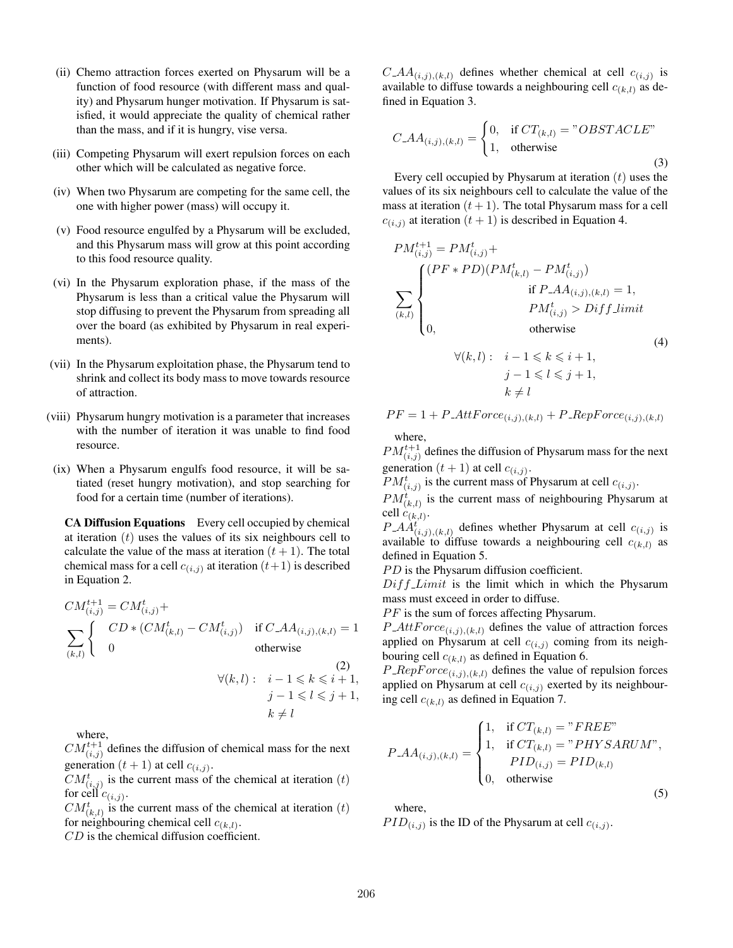- (ii) Chemo attraction forces exerted on Physarum will be a function of food resource (with different mass and quality) and Physarum hunger motivation. If Physarum is satisfied, it would appreciate the quality of chemical rather than the mass, and if it is hungry, vise versa.
- (iii) Competing Physarum will exert repulsion forces on each other which will be calculated as negative force.
- (iv) When two Physarum are competing for the same cell, the one with higher power (mass) will occupy it.
- (v) Food resource engulfed by a Physarum will be excluded, and this Physarum mass will grow at this point according to this food resource quality.
- (vi) In the Physarum exploration phase, if the mass of the Physarum is less than a critical value the Physarum will stop diffusing to prevent the Physarum from spreading all over the board (as exhibited by Physarum in real experiments).
- (vii) In the Physarum exploitation phase, the Physarum tend to shrink and collect its body mass to move towards resource of attraction.
- (viii) Physarum hungry motivation is a parameter that increases with the number of iteration it was unable to find food resource.
- (ix) When a Physarum engulfs food resource, it will be satiated (reset hungry motivation), and stop searching for food for a certain time (number of iterations).

CA Diffusion Equations Every cell occupied by chemical at iteration  $(t)$  uses the values of its six neighbours cell to calculate the value of the mass at iteration  $(t + 1)$ . The total chemical mass for a cell  $c_{(i,j)}$  at iteration  $(t+1)$  is described in Equation 2.

$$
CM_{(i,j)}^{t+1} = CM_{(i,j)}^t + \sum_{(k,l)} \begin{cases} CD * (CM_{(k,l)}^t - CM_{(i,j)}^t) & \text{if } C \_A A_{(i,j),(k,l)} = 1 \\ 0 & \text{otherwise} \end{cases}
$$

$$
\forall (k, l): \quad i - 1 \leq k \leq i + 1, \n j - 1 \leq l \leq j + 1, \n k \neq l
$$

where,

 $CM_{(i,j)}^{t+1}$  defines the diffusion of chemical mass for the next generation  $(t + 1)$  at cell  $c_{(i,j)}$ .

 $CM^t_{(i,j)}$  is the current mass of the chemical at iteration (t) for cell  $c_{(i,j)}$ .

 $CM_{(k,l)}^t$  is the current mass of the chemical at iteration (t) for neighbouring chemical cell  $c_{(k,l)}$ .

CD is the chemical diffusion coefficient.

 $C \ A A_{(i,j),(k,l)}$  defines whether chemical at cell  $c_{(i,j)}$  is available to diffuse towards a neighbouring cell  $c_{(k,l)}$  as defined in Equation 3.

$$
C.AA_{(i,j),(k,l)} = \begin{cases} 0, & \text{if } CT_{(k,l)} = "OBSTACLE" \\ 1, & \text{otherwise} \end{cases}
$$
(3)

Every cell occupied by Physarum at iteration  $(t)$  uses the values of its six neighbours cell to calculate the value of the mass at iteration  $(t + 1)$ . The total Physarum mass for a cell  $c_{(i,j)}$  at iteration  $(t + 1)$  is described in Equation 4.

$$
PM_{(i,j)}^{t+1} = PM_{(i,j)}^t +
$$
\n
$$
\sum_{(k,l)} \begin{cases}\n(PF * PD)(PM_{(k,l)}^t - PM_{(i,j)}^t) & \text{if } P \_A(A_{(i,j),(k,l)} = 1, \\
& \qquad \qquad PH_{(i,j)}^t > Diff \_I\end{cases}
$$
\n
$$
\forall (k,l): \quad i-1 \leq k \leq i+1,
$$
\n
$$
j-1 \leq l \leq j+1,
$$
\n
$$
k \neq l
$$
\n(4)

$$
PF = 1 + P\_\mathit{AttForce}_{(i,j),(k,l)} + P\_\mathit{RepForce}_{(i,j),(k,l)}
$$
\nwhere,

 $PM_{(i,j)}^{t+1}$  defines the diffusion of Physarum mass for the next generation  $(t + 1)$  at cell  $c_{(i,j)}$ .

 $PM_{(i,j)}^t$  is the current mass of Physarum at cell  $c_{(i,j)}$ .

 $PM_{(k,l)}^t$  is the current mass of neighbouring Physarum at cell  $c_{(k,l)}$ .

 $P \_A \dot{A} \dot{t}_{(i,j),(k,l)}$  defines whether Physarum at cell  $c_{(i,j)}$  is available to diffuse towards a neighbouring cell  $c_{(k,l)}$  as defined in Equation 5.

PD is the Physarum diffusion coefficient.

 $Diff\_Limit$  is the limit which in which the Physarum mass must exceed in order to diffuse.

 $PF$  is the sum of forces affecting Physarum.

 $P\_AttForce_{(i,j),(k,l)}$  defines the value of attraction forces applied on Physarum at cell  $c_{(i,j)}$  coming from its neighbouring cell  $c_{(k,l)}$  as defined in Equation 6.

 $P_{\text{-}RepForce}(i,j),(k,l)$  defines the value of repulsion forces applied on Physarum at cell  $c_{(i,j)}$  exerted by its neighbouring cell  $c_{(k,l)}$  as defined in Equation 7.

$$
P.AA_{(i,j),(k,l)} = \begin{cases} 1, & \text{if } CT_{(k,l)} = "FREE"\n1, & \text{if } CT_{(k,l)} = "PHYSARUM",\n\end{cases}
$$
  
\n
$$
PID_{(i,j)} = PID_{(k,l)}
$$
  
\n0, otherwise  
\n(5)

where,

 $PID_{(i,j)}$  is the ID of the Physarum at cell  $c_{(i,j)}$ .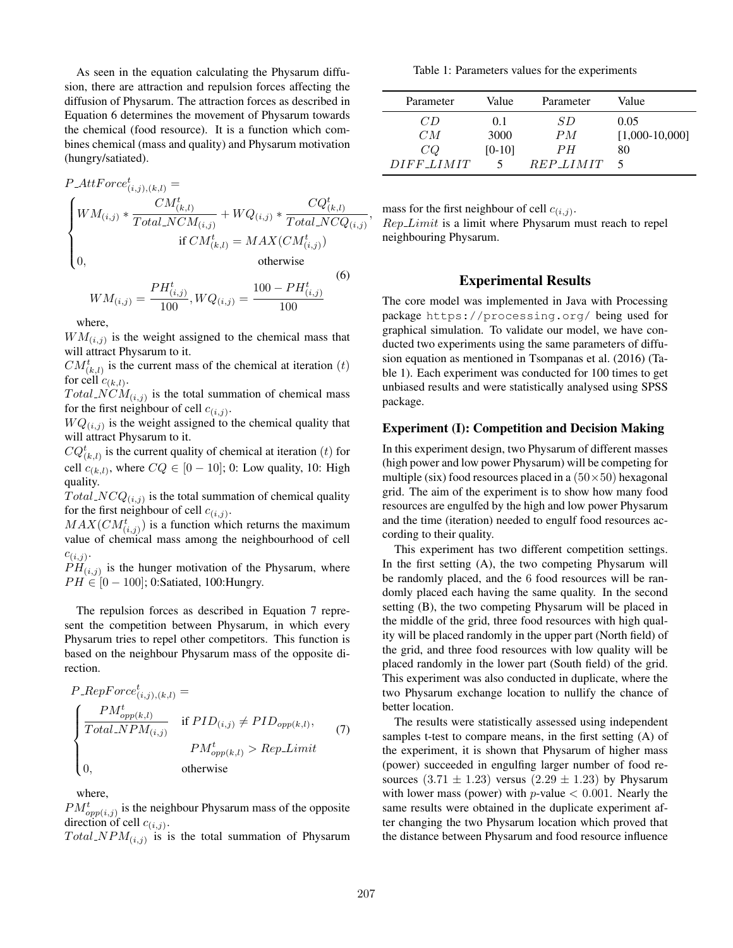As seen in the equation calculating the Physarum diffusion, there are attraction and repulsion forces affecting the diffusion of Physarum. The attraction forces as described in Equation 6 determines the movement of Physarum towards the chemical (food resource). It is a function which combines chemical (mass and quality) and Physarum motivation (hungry/satiated).

$$
P\_{Attr}^{T}(\mathbf{C}C_{(i,j),(k,l)}^{t}) =
$$
\n
$$
\begin{cases}\nW M_{(i,j)} * \frac{C M_{(k,l)}^{t}}{Total\_NC M_{(i,j)}} + W Q_{(i,j)} * \frac{C Q_{(k,l)}^{t}}{Total\_NC Q_{(i,j)}} \\
\text{if } C M_{(k,l)}^{t} = MAX(C M_{(i,j)}^{t}) \\
0, \qquad \text{otherwise}\n\end{cases}
$$
\n(6)

$$
WM_{(i,j)} = \frac{PH_{(i,j)}^t}{100}, WQ_{(i,j)} = \frac{100 - PH_{(i,j)}^t}{100}
$$

where,

 $WM_{(i,j)}$  is the weight assigned to the chemical mass that will attract Physarum to it.

 $CM_{(k,l)}^t$  is the current mass of the chemical at iteration (t) for cell  $c_{(k,l)}$ .

 $Total\_NCM_{(i,j)}$  is the total summation of chemical mass for the first neighbour of cell  $c_{(i,j)}$ .

 $WQ_{(i,j)}$  is the weight assigned to the chemical quality that will attract Physarum to it.

 $CQ_{(k,l)}^t$  is the current quality of chemical at iteration  $(t)$  for cell  $c_{(k,l)}$ , where  $CQ \in [0-10]$ ; 0: Low quality, 10: High quality.

 $Total\_NCQ_{(i,j)}$  is the total summation of chemical quality for the first neighbour of cell  $c_{(i,j)}$ .

 $MAX(CM_{(i,j)}^t)$  is a function which returns the maximum value of chemical mass among the neighbourhood of cell  $c_{(i,j)}$ .

 $PH_{(i,j)}$  is the hunger motivation of the Physarum, where  $PH \in [0 - 100]$ ; 0:Satiated, 100:Hungry.

The repulsion forces as described in Equation 7 represent the competition between Physarum, in which every Physarum tries to repel other competitors. This function is based on the neighbour Physarum mass of the opposite direction.

$$
P\_{RepForce}_{(i,j),(k,l)}^{t} = \n\begin{cases} \nPM_{opp(k,l)}^{t} & \text{if } PID_{(i,j)} \neq PID_{opp(k,l)},\\ \nTotal\_{IPM_{(i,j)}}^{t} & \text{if } PID_{(i,j)} \neq PID_{opp(k,l)},\\ \nOM_{opp(k,l)} > Rep\_{imit} \n\end{cases} \tag{7}
$$

where,

 $PM_{opp(i,j)}^t$  is the neighbour Physarum mass of the opposite direction of cell  $c_{(i,j)}$ .

 $Total\_NPM_{(i,j)}$  is is the total summation of Physarum

Table 1: Parameters values for the experiments

| Value    | Parameter        | Value            |
|----------|------------------|------------------|
| 0.1      | SD.              | 0.05             |
| 3000     | PM               | $[1,000-10,000]$ |
| $[0-10]$ | PH               | 80               |
|          | <i>REP LIMIT</i> |                  |
|          |                  |                  |

mass for the first neighbour of cell  $c_{(i,j)}$ . Rep Limit is a limit where Physarum must reach to repel neighbouring Physarum.

### Experimental Results

The core model was implemented in Java with Processing package https://processing.org/ being used for graphical simulation. To validate our model, we have conducted two experiments using the same parameters of diffusion equation as mentioned in Tsompanas et al. (2016) (Table 1). Each experiment was conducted for 100 times to get unbiased results and were statistically analysed using SPSS package.

## Experiment (I): Competition and Decision Making

In this experiment design, two Physarum of different masses (high power and low power Physarum) will be competing for multiple (six) food resources placed in a  $(50 \times 50)$  hexagonal grid. The aim of the experiment is to show how many food resources are engulfed by the high and low power Physarum and the time (iteration) needed to engulf food resources according to their quality.

This experiment has two different competition settings. In the first setting (A), the two competing Physarum will be randomly placed, and the 6 food resources will be randomly placed each having the same quality. In the second setting (B), the two competing Physarum will be placed in the middle of the grid, three food resources with high quality will be placed randomly in the upper part (North field) of the grid, and three food resources with low quality will be placed randomly in the lower part (South field) of the grid. This experiment was also conducted in duplicate, where the two Physarum exchange location to nullify the chance of better location.

The results were statistically assessed using independent samples t-test to compare means, in the first setting (A) of the experiment, it is shown that Physarum of higher mass (power) succeeded in engulfing larger number of food resources  $(3.71 \pm 1.23)$  versus  $(2.29 \pm 1.23)$  by Physarum with lower mass (power) with  $p$ -value  $< 0.001$ . Nearly the same results were obtained in the duplicate experiment after changing the two Physarum location which proved that the distance between Physarum and food resource influence

,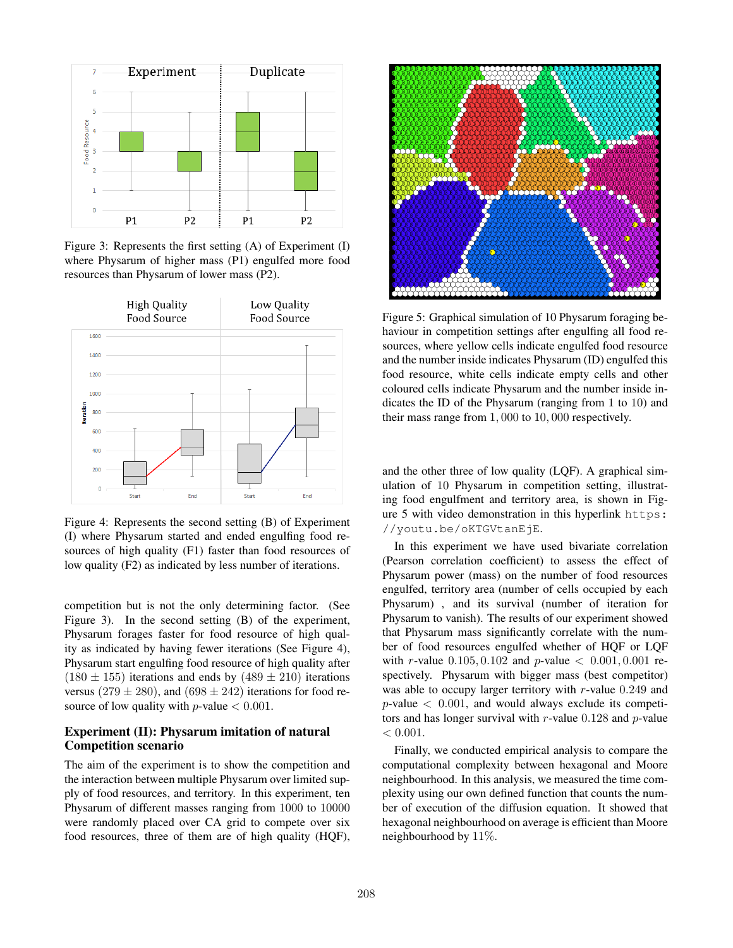

Figure 3: Represents the first setting (A) of Experiment (I) where Physarum of higher mass (P1) engulfed more food resources than Physarum of lower mass (P2).



Figure 4: Represents the second setting (B) of Experiment (I) where Physarum started and ended engulfing food resources of high quality (F1) faster than food resources of low quality (F2) as indicated by less number of iterations.

competition but is not the only determining factor. (See Figure 3). In the second setting (B) of the experiment, Physarum forages faster for food resource of high quality as indicated by having fewer iterations (See Figure 4), Physarum start engulfing food resource of high quality after  $(180 \pm 155)$  iterations and ends by  $(489 \pm 210)$  iterations versus (279  $\pm$  280), and (698  $\pm$  242) iterations for food resource of low quality with  $p$ -value  $< 0.001$ .

### Experiment (II): Physarum imitation of natural Competition scenario

The aim of the experiment is to show the competition and the interaction between multiple Physarum over limited supply of food resources, and territory. In this experiment, ten Physarum of different masses ranging from 1000 to 10000 were randomly placed over CA grid to compete over six food resources, three of them are of high quality (HQF),



Figure 5: Graphical simulation of 10 Physarum foraging behaviour in competition settings after engulfing all food resources, where yellow cells indicate engulfed food resource and the number inside indicates Physarum (ID) engulfed this food resource, white cells indicate empty cells and other coloured cells indicate Physarum and the number inside indicates the ID of the Physarum (ranging from 1 to 10) and their mass range from 1, 000 to 10, 000 respectively.

and the other three of low quality (LQF). A graphical simulation of 10 Physarum in competition setting, illustrating food engulfment and territory area, is shown in Figure 5 with video demonstration in this hyperlink https: //youtu.be/oKTGVtanEjE.

In this experiment we have used bivariate correlation (Pearson correlation coefficient) to assess the effect of Physarum power (mass) on the number of food resources engulfed, territory area (number of cells occupied by each Physarum) , and its survival (number of iteration for Physarum to vanish). The results of our experiment showed that Physarum mass significantly correlate with the number of food resources engulfed whether of HQF or LQF with r-value  $0.105, 0.102$  and p-value  $\lt 0.001, 0.001$  respectively. Physarum with bigger mass (best competitor) was able to occupy larger territory with  $r$ -value 0.249 and  $p$ -value  $\lt$  0.001, and would always exclude its competitors and has longer survival with  $r$ -value 0.128 and  $p$ -value  $< 0.001$ .

Finally, we conducted empirical analysis to compare the computational complexity between hexagonal and Moore neighbourhood. In this analysis, we measured the time complexity using our own defined function that counts the number of execution of the diffusion equation. It showed that hexagonal neighbourhood on average is efficient than Moore neighbourhood by 11%.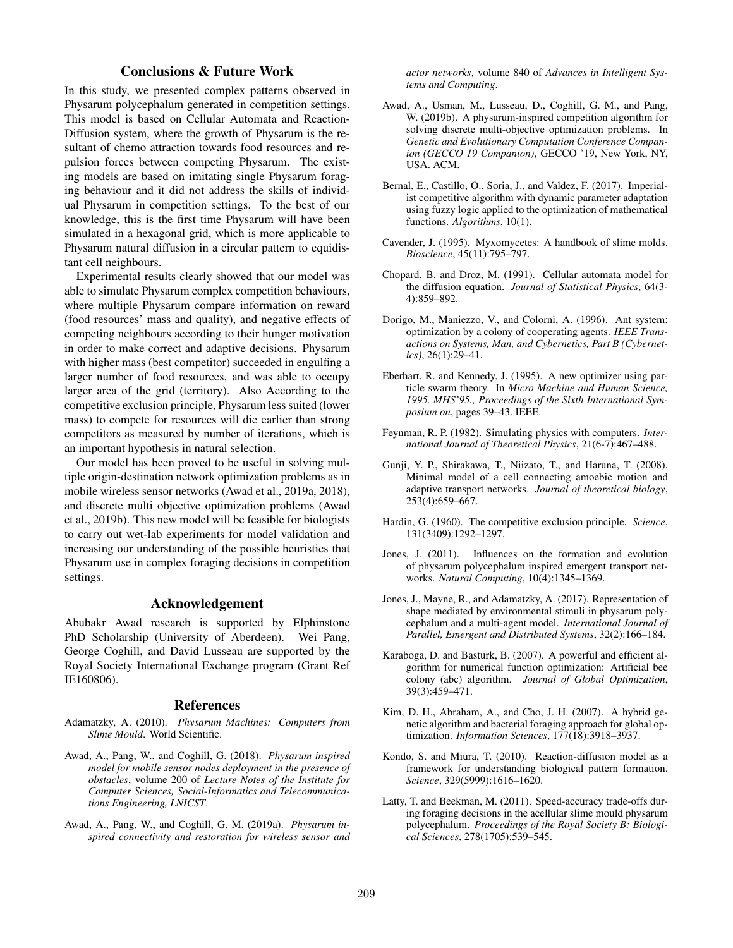# Conclusions & Future Work

In this study, we presented complex patterns observed in Physarum polycephalum generated in competition settings. This model is based on Cellular Automata and Reaction-Diffusion system, where the growth of Physarum is the resultant of chemo attraction towards food resources and repulsion forces between competing Physarum. The existing models are based on imitating single Physarum foraging behaviour and it did not address the skills of individual Physarum in competition settings. To the best of our knowledge, this is the first time Physarum will have been simulated in a hexagonal grid, which is more applicable to Physarum natural diffusion in a circular pattern to equidistant cell neighbours.

Experimental results clearly showed that our model was able to simulate Physarum complex competition behaviours, where multiple Physarum compare information on reward (food resources' mass and quality), and negative effects of competing neighbours according to their hunger motivation in order to make correct and adaptive decisions. Physarum with higher mass (best competitor) succeeded in engulfing a larger number of food resources, and was able to occupy larger area of the grid (territory). Also According to the competitive exclusion principle, Physarum less suited (lower mass) to compete for resources will die earlier than strong competitors as measured by number of iterations, which is an important hypothesis in natural selection.

Our model has been proved to be useful in solving multiple origin-destination network optimization problems as in mobile wireless sensor networks (Awad et al., 2019a, 2018), and discrete multi objective optimization problems (Awad et al., 2019b). This new model will be feasible for biologists to carry out wet-lab experiments for model validation and increasing our understanding of the possible heuristics that Physarum use in complex foraging decisions in competition settings.

#### Acknowledgement

Abubakr Awad research is supported by Elphinstone PhD Scholarship (University of Aberdeen). Wei Pang, George Coghill, and David Lusseau are supported by the Royal Society International Exchange program (Grant Ref IE160806).

#### References

- Adamatzky, A. (2010). *Physarum Machines: Computers from Slime Mould*. World Scientific.
- Awad, A., Pang, W., and Coghill, G. (2018). *Physarum inspired model for mobile sensor nodes deployment in the presence of obstacles*, volume 200 of *Lecture Notes of the Institute for Computer Sciences, Social-Informatics and Telecommunications Engineering, LNICST*.
- Awad, A., Pang, W., and Coghill, G. M. (2019a). *Physarum inspired connectivity and restoration for wireless sensor and*

*actor networks*, volume 840 of *Advances in Intelligent Systems and Computing*.

- Awad, A., Usman, M., Lusseau, D., Coghill, G. M., and Pang, W. (2019b). A physarum-inspired competition algorithm for solving discrete multi-objective optimization problems. In *Genetic and Evolutionary Computation Conference Companion (GECCO 19 Companion)*, GECCO '19, New York, NY, USA. ACM.
- Bernal, E., Castillo, O., Soria, J., and Valdez, F. (2017). Imperialist competitive algorithm with dynamic parameter adaptation using fuzzy logic applied to the optimization of mathematical functions. *Algorithms*, 10(1).
- Cavender, J. (1995). Myxomycetes: A handbook of slime molds. *Bioscience*, 45(11):795–797.
- Chopard, B. and Droz, M. (1991). Cellular automata model for the diffusion equation. *Journal of Statistical Physics*, 64(3- 4):859–892.
- Dorigo, M., Maniezzo, V., and Colorni, A. (1996). Ant system: optimization by a colony of cooperating agents. *IEEE Transactions on Systems, Man, and Cybernetics, Part B (Cybernetics)*, 26(1):29–41.
- Eberhart, R. and Kennedy, J. (1995). A new optimizer using particle swarm theory. In *Micro Machine and Human Science, 1995. MHS'95., Proceedings of the Sixth International Symposium on*, pages 39–43. IEEE.
- Feynman, R. P. (1982). Simulating physics with computers. *International Journal of Theoretical Physics*, 21(6-7):467–488.
- Gunji, Y. P., Shirakawa, T., Niizato, T., and Haruna, T. (2008). Minimal model of a cell connecting amoebic motion and adaptive transport networks. *Journal of theoretical biology*, 253(4):659–667.
- Hardin, G. (1960). The competitive exclusion principle. *Science*, 131(3409):1292–1297.
- Jones, J. (2011). Influences on the formation and evolution of physarum polycephalum inspired emergent transport networks. *Natural Computing*, 10(4):1345–1369.
- Jones, J., Mayne, R., and Adamatzky, A. (2017). Representation of shape mediated by environmental stimuli in physarum polycephalum and a multi-agent model. *International Journal of Parallel, Emergent and Distributed Systems*, 32(2):166–184.
- Karaboga, D. and Basturk, B. (2007). A powerful and efficient algorithm for numerical function optimization: Artificial bee colony (abc) algorithm. *Journal of Global Optimization*, 39(3):459–471.
- Kim, D. H., Abraham, A., and Cho, J. H. (2007). A hybrid genetic algorithm and bacterial foraging approach for global optimization. *Information Sciences*, 177(18):3918–3937.
- Kondo, S. and Miura, T. (2010). Reaction-diffusion model as a framework for understanding biological pattern formation. *Science*, 329(5999):1616–1620.
- Latty, T. and Beekman, M. (2011). Speed-accuracy trade-offs during foraging decisions in the acellular slime mould physarum polycephalum. *Proceedings of the Royal Society B: Biological Sciences*, 278(1705):539–545.